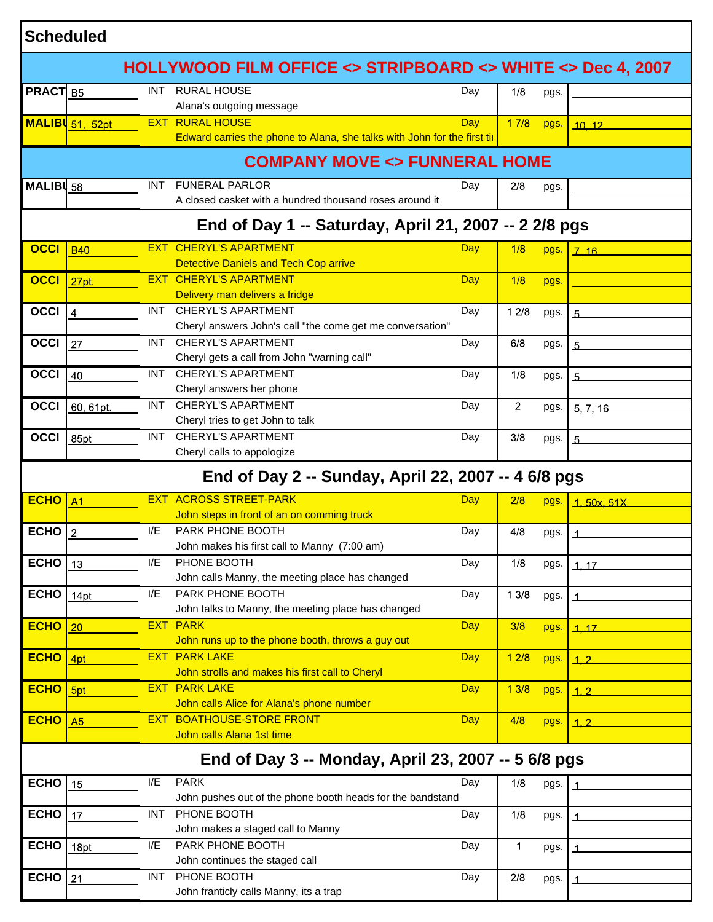| HOLLYWOOD FILM OFFICE <> STRIPBOARD <> WHITE <> Dec 4, 2007<br><b>RURAL HOUSE</b><br><b>PRACT</b> B5<br><b>INT</b><br>Day<br>1/8<br>pgs.<br>Alana's outgoing message<br><b>RURAL HOUSE</b><br>EXT.<br><b>Day</b><br>17/8<br>MALIBI 51, 52pt<br>pgs.<br>10.12<br>Edward carries the phone to Alana, she talks with John for the first till<br><b>COMPANY MOVE &lt;&gt; FUNNERAL HOME</b><br><b>FUNERAL PARLOR</b><br>MALIB $\vert$ 58<br>INT.<br>Day<br>2/8<br>pgs.<br>A closed casket with a hundred thousand roses around it<br>End of Day 1 -- Saturday, April 21, 2007 -- 2 2/8 pgs<br><b>EXT CHERYL'S APARTMENT</b><br><b>OCCI</b><br>Day<br>1/8<br><b>B40</b><br>pgs.<br>7.16<br><b>Detective Daniels and Tech Cop arrive</b><br><b>EXT CHERYL'S APARTMENT</b><br><b>OCCI</b><br>Day<br>1/8<br>27pt.<br>pgs.<br>Delivery man delivers a fridge<br><b>OCCI</b><br><b>CHERYL'S APARTMENT</b><br>INT.<br>Day<br>12/8<br>$\overline{4}$<br>pgs.<br>$\overline{5}$<br>Cheryl answers John's call "the come get me conversation"<br><b>CHERYL'S APARTMENT</b><br><b>OCCI</b><br>INT.<br>Day<br>6/8<br>27<br>pgs.<br>5<br>Cheryl gets a call from John "warning call"<br><b>CHERYL'S APARTMENT</b><br><b>OCCI</b><br>INT.<br>1/8<br>Day<br>40<br>pgs.<br>5<br>Cheryl answers her phone<br><b>CHERYL'S APARTMENT</b><br><b>OCCI</b><br>INT.<br>$\overline{2}$<br>Day<br>60, 61pt.<br>pgs.<br>5, 7, 16<br>Cheryl tries to get John to talk<br><b>CHERYL'S APARTMENT</b><br><b>OCCI</b><br>INT.<br>Day<br>3/8<br>85pt<br>pgs.<br>$\overline{5}$<br>Cheryl calls to appologize<br>End of Day 2 -- Sunday, April 22, 2007 -- 4 6/8 pgs<br><b>EXT ACROSS STREET-PARK</b><br><b>ECHO</b><br>Day<br>2/8<br>A <sub>1</sub><br>pgs.<br>1.50x.51X<br>John steps in front of an on comming truck<br><b>ECHO</b><br>PARK PHONE BOOTH<br>I/E<br>Day<br>4/8<br>$\overline{2}$<br>pgs.<br>John makes his first call to Manny (7:00 am)<br><b>ECHO</b><br>PHONE BOOTH<br>I/E<br>Day<br>1/8<br>13<br>pgs.<br>1.17<br>John calls Manny, the meeting place has changed<br>PARK PHONE BOOTH<br><b>ECHO</b><br>I/E<br>13/8<br>Day<br>14pt<br>pgs.<br>John talks to Manny, the meeting place has changed<br><b>ECHO</b><br><b>PARK</b><br><b>EXT</b><br>Day<br>3/8<br>20<br>pgs.<br>1.17<br>John runs up to the phone booth, throws a guy out<br><b>EXT PARK LAKE</b><br><b>ECHO</b><br>Day<br>12/8<br>4pt<br>pgs.<br>$\mathbf{1.2}$<br>John strolls and makes his first call to Cheryl<br><b>PARK LAKE</b><br>EXT<br><b>ECHO</b><br><b>Day</b><br>13/8<br>5pt<br>pgs.<br>1.2<br>John calls Alice for Alana's phone number<br><b>BOATHOUSE-STORE FRONT</b><br><b>ECHO</b><br>EXT.<br><b>Day</b><br>4/8<br>A5<br>pgs.<br>$\overline{1.2}$<br>John calls Alana 1st time<br>End of Day 3 -- Monday, April 23, 2007 -- 5 6/8 pgs<br><b>ECHO</b><br><b>PARK</b><br>I/E<br>Day<br>15<br>1/8<br>pgs.<br>John pushes out of the phone booth heads for the bandstand<br>PHONE BOOTH<br><b>ECHO</b><br><b>INT</b><br>Day<br>1/8<br>17<br>pgs.<br>John makes a staged call to Manny<br>PARK PHONE BOOTH<br><b>ECHO</b><br>I/E<br>Day<br>1<br>18pt<br>pgs.<br>John continues the staged call<br>PHONE BOOTH<br><b>ECHO</b><br><b>INT</b><br>Day<br>2/8<br>21<br>pgs.<br>John franticly calls Manny, its a trap | <b>Scheduled</b> |  |  |  |  |  |  |  |  |
|---------------------------------------------------------------------------------------------------------------------------------------------------------------------------------------------------------------------------------------------------------------------------------------------------------------------------------------------------------------------------------------------------------------------------------------------------------------------------------------------------------------------------------------------------------------------------------------------------------------------------------------------------------------------------------------------------------------------------------------------------------------------------------------------------------------------------------------------------------------------------------------------------------------------------------------------------------------------------------------------------------------------------------------------------------------------------------------------------------------------------------------------------------------------------------------------------------------------------------------------------------------------------------------------------------------------------------------------------------------------------------------------------------------------------------------------------------------------------------------------------------------------------------------------------------------------------------------------------------------------------------------------------------------------------------------------------------------------------------------------------------------------------------------------------------------------------------------------------------------------------------------------------------------------------------------------------------------------------------------------------------------------------------------------------------------------------------------------------------------------------------------------------------------------------------------------------------------------------------------------------------------------------------------------------------------------------------------------------------------------------------------------------------------------------------------------------------------------------------------------------------------------------------------------------------------------------------------------------------------------------------------------------------------------------------------------------------------------------------------------------------------------------------------------------------------------------------------------------------------------------------------------------------------------------------------------------------------------------------------------------------------------------------------------------------------------------------------------------------------------------------------------------------------------------------------------------------------------------------------------------------------------------|------------------|--|--|--|--|--|--|--|--|
|                                                                                                                                                                                                                                                                                                                                                                                                                                                                                                                                                                                                                                                                                                                                                                                                                                                                                                                                                                                                                                                                                                                                                                                                                                                                                                                                                                                                                                                                                                                                                                                                                                                                                                                                                                                                                                                                                                                                                                                                                                                                                                                                                                                                                                                                                                                                                                                                                                                                                                                                                                                                                                                                                                                                                                                                                                                                                                                                                                                                                                                                                                                                                                                                                                                                           |                  |  |  |  |  |  |  |  |  |
|                                                                                                                                                                                                                                                                                                                                                                                                                                                                                                                                                                                                                                                                                                                                                                                                                                                                                                                                                                                                                                                                                                                                                                                                                                                                                                                                                                                                                                                                                                                                                                                                                                                                                                                                                                                                                                                                                                                                                                                                                                                                                                                                                                                                                                                                                                                                                                                                                                                                                                                                                                                                                                                                                                                                                                                                                                                                                                                                                                                                                                                                                                                                                                                                                                                                           |                  |  |  |  |  |  |  |  |  |
|                                                                                                                                                                                                                                                                                                                                                                                                                                                                                                                                                                                                                                                                                                                                                                                                                                                                                                                                                                                                                                                                                                                                                                                                                                                                                                                                                                                                                                                                                                                                                                                                                                                                                                                                                                                                                                                                                                                                                                                                                                                                                                                                                                                                                                                                                                                                                                                                                                                                                                                                                                                                                                                                                                                                                                                                                                                                                                                                                                                                                                                                                                                                                                                                                                                                           |                  |  |  |  |  |  |  |  |  |
|                                                                                                                                                                                                                                                                                                                                                                                                                                                                                                                                                                                                                                                                                                                                                                                                                                                                                                                                                                                                                                                                                                                                                                                                                                                                                                                                                                                                                                                                                                                                                                                                                                                                                                                                                                                                                                                                                                                                                                                                                                                                                                                                                                                                                                                                                                                                                                                                                                                                                                                                                                                                                                                                                                                                                                                                                                                                                                                                                                                                                                                                                                                                                                                                                                                                           |                  |  |  |  |  |  |  |  |  |
|                                                                                                                                                                                                                                                                                                                                                                                                                                                                                                                                                                                                                                                                                                                                                                                                                                                                                                                                                                                                                                                                                                                                                                                                                                                                                                                                                                                                                                                                                                                                                                                                                                                                                                                                                                                                                                                                                                                                                                                                                                                                                                                                                                                                                                                                                                                                                                                                                                                                                                                                                                                                                                                                                                                                                                                                                                                                                                                                                                                                                                                                                                                                                                                                                                                                           |                  |  |  |  |  |  |  |  |  |
|                                                                                                                                                                                                                                                                                                                                                                                                                                                                                                                                                                                                                                                                                                                                                                                                                                                                                                                                                                                                                                                                                                                                                                                                                                                                                                                                                                                                                                                                                                                                                                                                                                                                                                                                                                                                                                                                                                                                                                                                                                                                                                                                                                                                                                                                                                                                                                                                                                                                                                                                                                                                                                                                                                                                                                                                                                                                                                                                                                                                                                                                                                                                                                                                                                                                           |                  |  |  |  |  |  |  |  |  |
|                                                                                                                                                                                                                                                                                                                                                                                                                                                                                                                                                                                                                                                                                                                                                                                                                                                                                                                                                                                                                                                                                                                                                                                                                                                                                                                                                                                                                                                                                                                                                                                                                                                                                                                                                                                                                                                                                                                                                                                                                                                                                                                                                                                                                                                                                                                                                                                                                                                                                                                                                                                                                                                                                                                                                                                                                                                                                                                                                                                                                                                                                                                                                                                                                                                                           |                  |  |  |  |  |  |  |  |  |
|                                                                                                                                                                                                                                                                                                                                                                                                                                                                                                                                                                                                                                                                                                                                                                                                                                                                                                                                                                                                                                                                                                                                                                                                                                                                                                                                                                                                                                                                                                                                                                                                                                                                                                                                                                                                                                                                                                                                                                                                                                                                                                                                                                                                                                                                                                                                                                                                                                                                                                                                                                                                                                                                                                                                                                                                                                                                                                                                                                                                                                                                                                                                                                                                                                                                           |                  |  |  |  |  |  |  |  |  |
|                                                                                                                                                                                                                                                                                                                                                                                                                                                                                                                                                                                                                                                                                                                                                                                                                                                                                                                                                                                                                                                                                                                                                                                                                                                                                                                                                                                                                                                                                                                                                                                                                                                                                                                                                                                                                                                                                                                                                                                                                                                                                                                                                                                                                                                                                                                                                                                                                                                                                                                                                                                                                                                                                                                                                                                                                                                                                                                                                                                                                                                                                                                                                                                                                                                                           |                  |  |  |  |  |  |  |  |  |
|                                                                                                                                                                                                                                                                                                                                                                                                                                                                                                                                                                                                                                                                                                                                                                                                                                                                                                                                                                                                                                                                                                                                                                                                                                                                                                                                                                                                                                                                                                                                                                                                                                                                                                                                                                                                                                                                                                                                                                                                                                                                                                                                                                                                                                                                                                                                                                                                                                                                                                                                                                                                                                                                                                                                                                                                                                                                                                                                                                                                                                                                                                                                                                                                                                                                           |                  |  |  |  |  |  |  |  |  |
|                                                                                                                                                                                                                                                                                                                                                                                                                                                                                                                                                                                                                                                                                                                                                                                                                                                                                                                                                                                                                                                                                                                                                                                                                                                                                                                                                                                                                                                                                                                                                                                                                                                                                                                                                                                                                                                                                                                                                                                                                                                                                                                                                                                                                                                                                                                                                                                                                                                                                                                                                                                                                                                                                                                                                                                                                                                                                                                                                                                                                                                                                                                                                                                                                                                                           |                  |  |  |  |  |  |  |  |  |
|                                                                                                                                                                                                                                                                                                                                                                                                                                                                                                                                                                                                                                                                                                                                                                                                                                                                                                                                                                                                                                                                                                                                                                                                                                                                                                                                                                                                                                                                                                                                                                                                                                                                                                                                                                                                                                                                                                                                                                                                                                                                                                                                                                                                                                                                                                                                                                                                                                                                                                                                                                                                                                                                                                                                                                                                                                                                                                                                                                                                                                                                                                                                                                                                                                                                           |                  |  |  |  |  |  |  |  |  |
|                                                                                                                                                                                                                                                                                                                                                                                                                                                                                                                                                                                                                                                                                                                                                                                                                                                                                                                                                                                                                                                                                                                                                                                                                                                                                                                                                                                                                                                                                                                                                                                                                                                                                                                                                                                                                                                                                                                                                                                                                                                                                                                                                                                                                                                                                                                                                                                                                                                                                                                                                                                                                                                                                                                                                                                                                                                                                                                                                                                                                                                                                                                                                                                                                                                                           |                  |  |  |  |  |  |  |  |  |
|                                                                                                                                                                                                                                                                                                                                                                                                                                                                                                                                                                                                                                                                                                                                                                                                                                                                                                                                                                                                                                                                                                                                                                                                                                                                                                                                                                                                                                                                                                                                                                                                                                                                                                                                                                                                                                                                                                                                                                                                                                                                                                                                                                                                                                                                                                                                                                                                                                                                                                                                                                                                                                                                                                                                                                                                                                                                                                                                                                                                                                                                                                                                                                                                                                                                           |                  |  |  |  |  |  |  |  |  |
|                                                                                                                                                                                                                                                                                                                                                                                                                                                                                                                                                                                                                                                                                                                                                                                                                                                                                                                                                                                                                                                                                                                                                                                                                                                                                                                                                                                                                                                                                                                                                                                                                                                                                                                                                                                                                                                                                                                                                                                                                                                                                                                                                                                                                                                                                                                                                                                                                                                                                                                                                                                                                                                                                                                                                                                                                                                                                                                                                                                                                                                                                                                                                                                                                                                                           |                  |  |  |  |  |  |  |  |  |
|                                                                                                                                                                                                                                                                                                                                                                                                                                                                                                                                                                                                                                                                                                                                                                                                                                                                                                                                                                                                                                                                                                                                                                                                                                                                                                                                                                                                                                                                                                                                                                                                                                                                                                                                                                                                                                                                                                                                                                                                                                                                                                                                                                                                                                                                                                                                                                                                                                                                                                                                                                                                                                                                                                                                                                                                                                                                                                                                                                                                                                                                                                                                                                                                                                                                           |                  |  |  |  |  |  |  |  |  |
|                                                                                                                                                                                                                                                                                                                                                                                                                                                                                                                                                                                                                                                                                                                                                                                                                                                                                                                                                                                                                                                                                                                                                                                                                                                                                                                                                                                                                                                                                                                                                                                                                                                                                                                                                                                                                                                                                                                                                                                                                                                                                                                                                                                                                                                                                                                                                                                                                                                                                                                                                                                                                                                                                                                                                                                                                                                                                                                                                                                                                                                                                                                                                                                                                                                                           |                  |  |  |  |  |  |  |  |  |
|                                                                                                                                                                                                                                                                                                                                                                                                                                                                                                                                                                                                                                                                                                                                                                                                                                                                                                                                                                                                                                                                                                                                                                                                                                                                                                                                                                                                                                                                                                                                                                                                                                                                                                                                                                                                                                                                                                                                                                                                                                                                                                                                                                                                                                                                                                                                                                                                                                                                                                                                                                                                                                                                                                                                                                                                                                                                                                                                                                                                                                                                                                                                                                                                                                                                           |                  |  |  |  |  |  |  |  |  |
|                                                                                                                                                                                                                                                                                                                                                                                                                                                                                                                                                                                                                                                                                                                                                                                                                                                                                                                                                                                                                                                                                                                                                                                                                                                                                                                                                                                                                                                                                                                                                                                                                                                                                                                                                                                                                                                                                                                                                                                                                                                                                                                                                                                                                                                                                                                                                                                                                                                                                                                                                                                                                                                                                                                                                                                                                                                                                                                                                                                                                                                                                                                                                                                                                                                                           |                  |  |  |  |  |  |  |  |  |
|                                                                                                                                                                                                                                                                                                                                                                                                                                                                                                                                                                                                                                                                                                                                                                                                                                                                                                                                                                                                                                                                                                                                                                                                                                                                                                                                                                                                                                                                                                                                                                                                                                                                                                                                                                                                                                                                                                                                                                                                                                                                                                                                                                                                                                                                                                                                                                                                                                                                                                                                                                                                                                                                                                                                                                                                                                                                                                                                                                                                                                                                                                                                                                                                                                                                           |                  |  |  |  |  |  |  |  |  |
|                                                                                                                                                                                                                                                                                                                                                                                                                                                                                                                                                                                                                                                                                                                                                                                                                                                                                                                                                                                                                                                                                                                                                                                                                                                                                                                                                                                                                                                                                                                                                                                                                                                                                                                                                                                                                                                                                                                                                                                                                                                                                                                                                                                                                                                                                                                                                                                                                                                                                                                                                                                                                                                                                                                                                                                                                                                                                                                                                                                                                                                                                                                                                                                                                                                                           |                  |  |  |  |  |  |  |  |  |
|                                                                                                                                                                                                                                                                                                                                                                                                                                                                                                                                                                                                                                                                                                                                                                                                                                                                                                                                                                                                                                                                                                                                                                                                                                                                                                                                                                                                                                                                                                                                                                                                                                                                                                                                                                                                                                                                                                                                                                                                                                                                                                                                                                                                                                                                                                                                                                                                                                                                                                                                                                                                                                                                                                                                                                                                                                                                                                                                                                                                                                                                                                                                                                                                                                                                           |                  |  |  |  |  |  |  |  |  |
|                                                                                                                                                                                                                                                                                                                                                                                                                                                                                                                                                                                                                                                                                                                                                                                                                                                                                                                                                                                                                                                                                                                                                                                                                                                                                                                                                                                                                                                                                                                                                                                                                                                                                                                                                                                                                                                                                                                                                                                                                                                                                                                                                                                                                                                                                                                                                                                                                                                                                                                                                                                                                                                                                                                                                                                                                                                                                                                                                                                                                                                                                                                                                                                                                                                                           |                  |  |  |  |  |  |  |  |  |
|                                                                                                                                                                                                                                                                                                                                                                                                                                                                                                                                                                                                                                                                                                                                                                                                                                                                                                                                                                                                                                                                                                                                                                                                                                                                                                                                                                                                                                                                                                                                                                                                                                                                                                                                                                                                                                                                                                                                                                                                                                                                                                                                                                                                                                                                                                                                                                                                                                                                                                                                                                                                                                                                                                                                                                                                                                                                                                                                                                                                                                                                                                                                                                                                                                                                           |                  |  |  |  |  |  |  |  |  |
|                                                                                                                                                                                                                                                                                                                                                                                                                                                                                                                                                                                                                                                                                                                                                                                                                                                                                                                                                                                                                                                                                                                                                                                                                                                                                                                                                                                                                                                                                                                                                                                                                                                                                                                                                                                                                                                                                                                                                                                                                                                                                                                                                                                                                                                                                                                                                                                                                                                                                                                                                                                                                                                                                                                                                                                                                                                                                                                                                                                                                                                                                                                                                                                                                                                                           |                  |  |  |  |  |  |  |  |  |
|                                                                                                                                                                                                                                                                                                                                                                                                                                                                                                                                                                                                                                                                                                                                                                                                                                                                                                                                                                                                                                                                                                                                                                                                                                                                                                                                                                                                                                                                                                                                                                                                                                                                                                                                                                                                                                                                                                                                                                                                                                                                                                                                                                                                                                                                                                                                                                                                                                                                                                                                                                                                                                                                                                                                                                                                                                                                                                                                                                                                                                                                                                                                                                                                                                                                           |                  |  |  |  |  |  |  |  |  |
|                                                                                                                                                                                                                                                                                                                                                                                                                                                                                                                                                                                                                                                                                                                                                                                                                                                                                                                                                                                                                                                                                                                                                                                                                                                                                                                                                                                                                                                                                                                                                                                                                                                                                                                                                                                                                                                                                                                                                                                                                                                                                                                                                                                                                                                                                                                                                                                                                                                                                                                                                                                                                                                                                                                                                                                                                                                                                                                                                                                                                                                                                                                                                                                                                                                                           |                  |  |  |  |  |  |  |  |  |
|                                                                                                                                                                                                                                                                                                                                                                                                                                                                                                                                                                                                                                                                                                                                                                                                                                                                                                                                                                                                                                                                                                                                                                                                                                                                                                                                                                                                                                                                                                                                                                                                                                                                                                                                                                                                                                                                                                                                                                                                                                                                                                                                                                                                                                                                                                                                                                                                                                                                                                                                                                                                                                                                                                                                                                                                                                                                                                                                                                                                                                                                                                                                                                                                                                                                           |                  |  |  |  |  |  |  |  |  |
|                                                                                                                                                                                                                                                                                                                                                                                                                                                                                                                                                                                                                                                                                                                                                                                                                                                                                                                                                                                                                                                                                                                                                                                                                                                                                                                                                                                                                                                                                                                                                                                                                                                                                                                                                                                                                                                                                                                                                                                                                                                                                                                                                                                                                                                                                                                                                                                                                                                                                                                                                                                                                                                                                                                                                                                                                                                                                                                                                                                                                                                                                                                                                                                                                                                                           |                  |  |  |  |  |  |  |  |  |
|                                                                                                                                                                                                                                                                                                                                                                                                                                                                                                                                                                                                                                                                                                                                                                                                                                                                                                                                                                                                                                                                                                                                                                                                                                                                                                                                                                                                                                                                                                                                                                                                                                                                                                                                                                                                                                                                                                                                                                                                                                                                                                                                                                                                                                                                                                                                                                                                                                                                                                                                                                                                                                                                                                                                                                                                                                                                                                                                                                                                                                                                                                                                                                                                                                                                           |                  |  |  |  |  |  |  |  |  |
|                                                                                                                                                                                                                                                                                                                                                                                                                                                                                                                                                                                                                                                                                                                                                                                                                                                                                                                                                                                                                                                                                                                                                                                                                                                                                                                                                                                                                                                                                                                                                                                                                                                                                                                                                                                                                                                                                                                                                                                                                                                                                                                                                                                                                                                                                                                                                                                                                                                                                                                                                                                                                                                                                                                                                                                                                                                                                                                                                                                                                                                                                                                                                                                                                                                                           |                  |  |  |  |  |  |  |  |  |
|                                                                                                                                                                                                                                                                                                                                                                                                                                                                                                                                                                                                                                                                                                                                                                                                                                                                                                                                                                                                                                                                                                                                                                                                                                                                                                                                                                                                                                                                                                                                                                                                                                                                                                                                                                                                                                                                                                                                                                                                                                                                                                                                                                                                                                                                                                                                                                                                                                                                                                                                                                                                                                                                                                                                                                                                                                                                                                                                                                                                                                                                                                                                                                                                                                                                           |                  |  |  |  |  |  |  |  |  |
|                                                                                                                                                                                                                                                                                                                                                                                                                                                                                                                                                                                                                                                                                                                                                                                                                                                                                                                                                                                                                                                                                                                                                                                                                                                                                                                                                                                                                                                                                                                                                                                                                                                                                                                                                                                                                                                                                                                                                                                                                                                                                                                                                                                                                                                                                                                                                                                                                                                                                                                                                                                                                                                                                                                                                                                                                                                                                                                                                                                                                                                                                                                                                                                                                                                                           |                  |  |  |  |  |  |  |  |  |
|                                                                                                                                                                                                                                                                                                                                                                                                                                                                                                                                                                                                                                                                                                                                                                                                                                                                                                                                                                                                                                                                                                                                                                                                                                                                                                                                                                                                                                                                                                                                                                                                                                                                                                                                                                                                                                                                                                                                                                                                                                                                                                                                                                                                                                                                                                                                                                                                                                                                                                                                                                                                                                                                                                                                                                                                                                                                                                                                                                                                                                                                                                                                                                                                                                                                           |                  |  |  |  |  |  |  |  |  |
|                                                                                                                                                                                                                                                                                                                                                                                                                                                                                                                                                                                                                                                                                                                                                                                                                                                                                                                                                                                                                                                                                                                                                                                                                                                                                                                                                                                                                                                                                                                                                                                                                                                                                                                                                                                                                                                                                                                                                                                                                                                                                                                                                                                                                                                                                                                                                                                                                                                                                                                                                                                                                                                                                                                                                                                                                                                                                                                                                                                                                                                                                                                                                                                                                                                                           |                  |  |  |  |  |  |  |  |  |
|                                                                                                                                                                                                                                                                                                                                                                                                                                                                                                                                                                                                                                                                                                                                                                                                                                                                                                                                                                                                                                                                                                                                                                                                                                                                                                                                                                                                                                                                                                                                                                                                                                                                                                                                                                                                                                                                                                                                                                                                                                                                                                                                                                                                                                                                                                                                                                                                                                                                                                                                                                                                                                                                                                                                                                                                                                                                                                                                                                                                                                                                                                                                                                                                                                                                           |                  |  |  |  |  |  |  |  |  |
|                                                                                                                                                                                                                                                                                                                                                                                                                                                                                                                                                                                                                                                                                                                                                                                                                                                                                                                                                                                                                                                                                                                                                                                                                                                                                                                                                                                                                                                                                                                                                                                                                                                                                                                                                                                                                                                                                                                                                                                                                                                                                                                                                                                                                                                                                                                                                                                                                                                                                                                                                                                                                                                                                                                                                                                                                                                                                                                                                                                                                                                                                                                                                                                                                                                                           |                  |  |  |  |  |  |  |  |  |
|                                                                                                                                                                                                                                                                                                                                                                                                                                                                                                                                                                                                                                                                                                                                                                                                                                                                                                                                                                                                                                                                                                                                                                                                                                                                                                                                                                                                                                                                                                                                                                                                                                                                                                                                                                                                                                                                                                                                                                                                                                                                                                                                                                                                                                                                                                                                                                                                                                                                                                                                                                                                                                                                                                                                                                                                                                                                                                                                                                                                                                                                                                                                                                                                                                                                           |                  |  |  |  |  |  |  |  |  |
|                                                                                                                                                                                                                                                                                                                                                                                                                                                                                                                                                                                                                                                                                                                                                                                                                                                                                                                                                                                                                                                                                                                                                                                                                                                                                                                                                                                                                                                                                                                                                                                                                                                                                                                                                                                                                                                                                                                                                                                                                                                                                                                                                                                                                                                                                                                                                                                                                                                                                                                                                                                                                                                                                                                                                                                                                                                                                                                                                                                                                                                                                                                                                                                                                                                                           |                  |  |  |  |  |  |  |  |  |
|                                                                                                                                                                                                                                                                                                                                                                                                                                                                                                                                                                                                                                                                                                                                                                                                                                                                                                                                                                                                                                                                                                                                                                                                                                                                                                                                                                                                                                                                                                                                                                                                                                                                                                                                                                                                                                                                                                                                                                                                                                                                                                                                                                                                                                                                                                                                                                                                                                                                                                                                                                                                                                                                                                                                                                                                                                                                                                                                                                                                                                                                                                                                                                                                                                                                           |                  |  |  |  |  |  |  |  |  |
|                                                                                                                                                                                                                                                                                                                                                                                                                                                                                                                                                                                                                                                                                                                                                                                                                                                                                                                                                                                                                                                                                                                                                                                                                                                                                                                                                                                                                                                                                                                                                                                                                                                                                                                                                                                                                                                                                                                                                                                                                                                                                                                                                                                                                                                                                                                                                                                                                                                                                                                                                                                                                                                                                                                                                                                                                                                                                                                                                                                                                                                                                                                                                                                                                                                                           |                  |  |  |  |  |  |  |  |  |
|                                                                                                                                                                                                                                                                                                                                                                                                                                                                                                                                                                                                                                                                                                                                                                                                                                                                                                                                                                                                                                                                                                                                                                                                                                                                                                                                                                                                                                                                                                                                                                                                                                                                                                                                                                                                                                                                                                                                                                                                                                                                                                                                                                                                                                                                                                                                                                                                                                                                                                                                                                                                                                                                                                                                                                                                                                                                                                                                                                                                                                                                                                                                                                                                                                                                           |                  |  |  |  |  |  |  |  |  |
|                                                                                                                                                                                                                                                                                                                                                                                                                                                                                                                                                                                                                                                                                                                                                                                                                                                                                                                                                                                                                                                                                                                                                                                                                                                                                                                                                                                                                                                                                                                                                                                                                                                                                                                                                                                                                                                                                                                                                                                                                                                                                                                                                                                                                                                                                                                                                                                                                                                                                                                                                                                                                                                                                                                                                                                                                                                                                                                                                                                                                                                                                                                                                                                                                                                                           |                  |  |  |  |  |  |  |  |  |
|                                                                                                                                                                                                                                                                                                                                                                                                                                                                                                                                                                                                                                                                                                                                                                                                                                                                                                                                                                                                                                                                                                                                                                                                                                                                                                                                                                                                                                                                                                                                                                                                                                                                                                                                                                                                                                                                                                                                                                                                                                                                                                                                                                                                                                                                                                                                                                                                                                                                                                                                                                                                                                                                                                                                                                                                                                                                                                                                                                                                                                                                                                                                                                                                                                                                           |                  |  |  |  |  |  |  |  |  |
|                                                                                                                                                                                                                                                                                                                                                                                                                                                                                                                                                                                                                                                                                                                                                                                                                                                                                                                                                                                                                                                                                                                                                                                                                                                                                                                                                                                                                                                                                                                                                                                                                                                                                                                                                                                                                                                                                                                                                                                                                                                                                                                                                                                                                                                                                                                                                                                                                                                                                                                                                                                                                                                                                                                                                                                                                                                                                                                                                                                                                                                                                                                                                                                                                                                                           |                  |  |  |  |  |  |  |  |  |
|                                                                                                                                                                                                                                                                                                                                                                                                                                                                                                                                                                                                                                                                                                                                                                                                                                                                                                                                                                                                                                                                                                                                                                                                                                                                                                                                                                                                                                                                                                                                                                                                                                                                                                                                                                                                                                                                                                                                                                                                                                                                                                                                                                                                                                                                                                                                                                                                                                                                                                                                                                                                                                                                                                                                                                                                                                                                                                                                                                                                                                                                                                                                                                                                                                                                           |                  |  |  |  |  |  |  |  |  |
|                                                                                                                                                                                                                                                                                                                                                                                                                                                                                                                                                                                                                                                                                                                                                                                                                                                                                                                                                                                                                                                                                                                                                                                                                                                                                                                                                                                                                                                                                                                                                                                                                                                                                                                                                                                                                                                                                                                                                                                                                                                                                                                                                                                                                                                                                                                                                                                                                                                                                                                                                                                                                                                                                                                                                                                                                                                                                                                                                                                                                                                                                                                                                                                                                                                                           |                  |  |  |  |  |  |  |  |  |
|                                                                                                                                                                                                                                                                                                                                                                                                                                                                                                                                                                                                                                                                                                                                                                                                                                                                                                                                                                                                                                                                                                                                                                                                                                                                                                                                                                                                                                                                                                                                                                                                                                                                                                                                                                                                                                                                                                                                                                                                                                                                                                                                                                                                                                                                                                                                                                                                                                                                                                                                                                                                                                                                                                                                                                                                                                                                                                                                                                                                                                                                                                                                                                                                                                                                           |                  |  |  |  |  |  |  |  |  |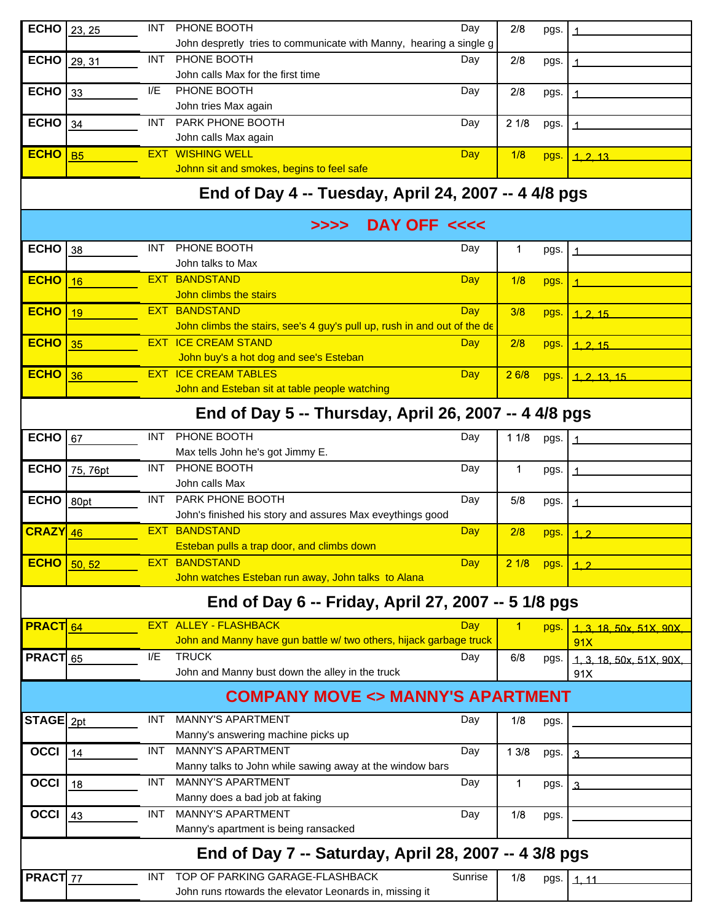| <b>ECHO</b>     | 23, 25                                                | INT.       | PHONE BOOTH                                                              | Day        | 2/8         | pgs. |                    |  |  |  |
|-----------------|-------------------------------------------------------|------------|--------------------------------------------------------------------------|------------|-------------|------|--------------------|--|--|--|
|                 |                                                       |            | John despretly tries to communicate with Manny, hearing a single g       |            |             |      |                    |  |  |  |
| <b>ECHO</b>     | 29, 31                                                | INT.       | PHONE BOOTH                                                              | Day        | 2/8         | pgs. |                    |  |  |  |
|                 |                                                       |            | John calls Max for the first time                                        |            |             |      |                    |  |  |  |
| <b>ECHO</b>     | 33                                                    | I/E        | PHONE BOOTH                                                              | Day        | 2/8         | pgs. |                    |  |  |  |
|                 |                                                       |            | John tries Max again                                                     |            |             |      |                    |  |  |  |
| <b>ECHO</b>     | 34                                                    |            | INT PARK PHONE BOOTH                                                     | Day        | 21/8        | pgs. |                    |  |  |  |
|                 |                                                       |            | John calls Max again                                                     |            |             |      |                    |  |  |  |
| <b>ECHO</b>     | <b>B5</b>                                             | EXT.       | <b>WISHING WELL</b>                                                      | Day        | 1/8         | pgs. | 1, 2, 13           |  |  |  |
|                 |                                                       |            | Johnn sit and smokes, begins to feel safe                                |            |             |      |                    |  |  |  |
|                 |                                                       |            | End of Day 4 -- Tuesday, April 24, 2007 -- 4 4/8 pgs                     |            |             |      |                    |  |  |  |
|                 |                                                       |            | DAY OFF <<<<<br>>>>>                                                     |            |             |      |                    |  |  |  |
| <b>ECHO</b>     | 38                                                    | INT.       | PHONE BOOTH                                                              | Day        | $\mathbf 1$ | pgs. |                    |  |  |  |
|                 |                                                       |            | John talks to Max                                                        |            |             |      |                    |  |  |  |
| <b>ECHO</b>     | 16                                                    | EXT        | <b>BANDSTAND</b>                                                         | Day        | 1/8         | pgs. |                    |  |  |  |
|                 |                                                       |            | John climbs the stairs                                                   |            |             |      |                    |  |  |  |
| <b>ECHO</b>     | 19                                                    | <b>EXT</b> | <b>BANDSTAND</b>                                                         | Day        | 3/8         | pgs. | 1, 2, 15           |  |  |  |
|                 |                                                       |            | John climbs the stairs, see's 4 guy's pull up, rush in and out of the de |            |             |      |                    |  |  |  |
| <b>ECHO</b>     | 35                                                    |            | <b>EXT ICE CREAM STAND</b>                                               | Day        | 2/8         | pgs. | 1, 2, 15           |  |  |  |
|                 |                                                       |            | John buy's a hot dog and see's Esteban                                   |            |             |      |                    |  |  |  |
| <b>ECHO</b>     | 36                                                    | EXT.       | <b>ICE CREAM TABLES</b>                                                  | <b>Day</b> | 26/8        | pgs. | 1.2.13.15          |  |  |  |
|                 |                                                       |            | John and Esteban sit at table people watching                            |            |             |      |                    |  |  |  |
|                 | End of Day 5 -- Thursday, April 26, 2007 -- 4 4/8 pgs |            |                                                                          |            |             |      |                    |  |  |  |
| <b>ECHO</b>     | 67                                                    | <b>INT</b> | PHONE BOOTH                                                              | Day        | 11/8        | pgs. |                    |  |  |  |
|                 |                                                       |            | Max tells John he's got Jimmy E.                                         |            |             |      |                    |  |  |  |
| <b>ECHO</b>     | 75, 76pt                                              | INT.       | PHONE BOOTH                                                              | Day        | 1           | pgs. |                    |  |  |  |
|                 |                                                       |            | John calls Max                                                           |            |             |      |                    |  |  |  |
| <b>ECHO</b>     | 80pt                                                  | INT.       | PARK PHONE BOOTH                                                         | Day        | 5/8         | pgs. |                    |  |  |  |
|                 |                                                       |            | John's finished his story and assures Max eveythings good                |            |             |      |                    |  |  |  |
| $CRAZY$ 46      |                                                       | EXT.       | <b>BANDSTAND</b><br>Esteban pulls a trap door, and climbs down           | Day        | 2/8         | pgs. | 1.2                |  |  |  |
|                 |                                                       | EXT.       | <b>BANDSTAND</b>                                                         |            |             |      |                    |  |  |  |
| <b>ECHO</b>     | 50, 52                                                |            | John watches Esteban run away, John talks to Alana                       | Day        | 21/8        | pgs. | 1.2                |  |  |  |
|                 |                                                       |            |                                                                          |            |             |      |                    |  |  |  |
|                 |                                                       |            | End of Day 6 -- Friday, April 27, 2007 -- 5 1/8 pgs                      |            |             |      |                    |  |  |  |
| <b>PRACT</b> 64 |                                                       | EXT.       | <b>ALLEY - FLASHBACK</b>                                                 | Day        | $\mathbf 1$ | pgs. | 1.3.18.50x.51X.90X |  |  |  |
|                 |                                                       |            | John and Manny have gun battle w/ two others, hijack garbage truck       |            |             |      | 91X                |  |  |  |
| <b>PRACT</b> 65 |                                                       | I/E        | <b>TRUCK</b>                                                             | Day        | 6/8         | pgs. | 1.3.18.50x.51X.90X |  |  |  |
|                 |                                                       |            | John and Manny bust down the alley in the truck                          |            |             |      | 91X                |  |  |  |
|                 | <b>COMPANY MOVE &lt;&gt; MANNY'S APARTMENT</b>        |            |                                                                          |            |             |      |                    |  |  |  |
| STAGE 2pt       |                                                       | INT.       | <b>MANNY'S APARTMENT</b>                                                 | Day        | 1/8         | pgs. |                    |  |  |  |
|                 |                                                       |            | Manny's answering machine picks up                                       |            |             |      |                    |  |  |  |
| OCCI            | 14                                                    | INT.       | <b>MANNY'S APARTMENT</b>                                                 | Day        | 13/8        | pgs. | 3                  |  |  |  |
|                 |                                                       |            | Manny talks to John while sawing away at the window bars                 |            |             |      |                    |  |  |  |
| <b>OCCI</b>     | 18                                                    | INT.       | <b>MANNY'S APARTMENT</b>                                                 | Day        | 1           | pgs. | 3                  |  |  |  |
|                 |                                                       |            | Manny does a bad job at faking                                           |            |             |      |                    |  |  |  |
| <b>OCCI</b>     | 43                                                    | INT.       | <b>MANNY'S APARTMENT</b>                                                 | Day        | 1/8         | pgs. |                    |  |  |  |
|                 |                                                       |            | Manny's apartment is being ransacked                                     |            |             |      |                    |  |  |  |
|                 |                                                       |            | End of Day 7 -- Saturday, April 28, 2007 -- 4 3/8 pgs                    |            |             |      |                    |  |  |  |
| PRACT 77        |                                                       | <b>INT</b> | TOP OF PARKING GARAGE-FLASHBACK                                          | Sunrise    | 1/8         | pgs. | 1.11               |  |  |  |
|                 |                                                       |            | John runs rtowards the elevator Leonards in, missing it                  |            |             |      |                    |  |  |  |
|                 |                                                       |            |                                                                          |            |             |      |                    |  |  |  |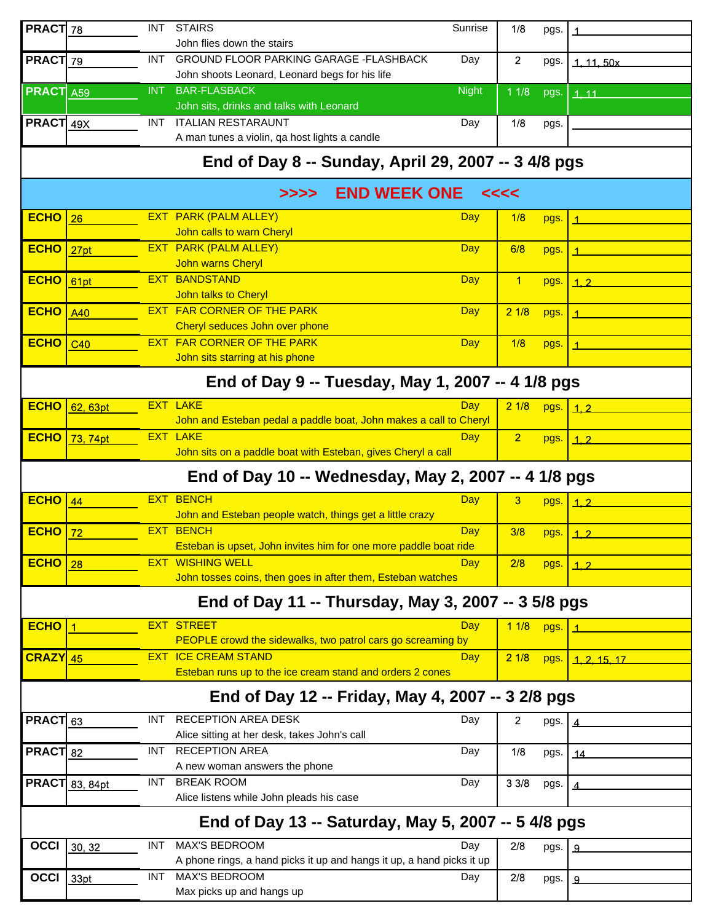| PRACT 78         |                       | <b>INT</b> | <b>STAIRS</b><br>John flies down the stairs                                             | Sunrise      | 1/8                  | pgs. |                |
|------------------|-----------------------|------------|-----------------------------------------------------------------------------------------|--------------|----------------------|------|----------------|
| PRACT 79         |                       | INT.       | <b>GROUND FLOOR PARKING GARAGE -FLASHBACK</b>                                           | Day          | 2                    | pgs. | 1, 11, 50x     |
|                  |                       |            | John shoots Leonard, Leonard begs for his life                                          |              |                      |      |                |
| <b>PRACT</b> A59 |                       | <b>INT</b> | <b>BAR-FLASBACK</b>                                                                     | <b>Night</b> | 11/8                 | pgs. | 1.11           |
|                  |                       |            | John sits, drinks and talks with Leonard                                                |              |                      |      |                |
| PRACT 49X        |                       |            | INT ITALIAN RESTARAUNT<br>A man tunes a violin, qa host lights a candle                 | Day          | 1/8                  | pgs. |                |
|                  |                       |            |                                                                                         |              |                      |      |                |
|                  |                       |            | End of Day 8 -- Sunday, April 29, 2007 -- 3 4/8 pgs                                     |              |                      |      |                |
|                  |                       |            | <b>END WEEK ONE</b><br>>>>>                                                             |              | <<<<                 |      |                |
| <b>ECHO</b>      | 26                    |            | <b>EXT PARK (PALM ALLEY)</b>                                                            | Day          | 1/8                  | pgs. |                |
|                  |                       |            | John calls to warn Cheryl                                                               |              |                      |      |                |
| <b>ECHO</b>      | 27pt                  |            | <b>EXT PARK (PALM ALLEY)</b>                                                            | Day          | 6/8                  | pgs. |                |
| <b>ECHO</b>      |                       |            | <b>John warns Cheryl</b><br><b>EXT BANDSTAND</b>                                        |              |                      |      |                |
|                  | 61pt                  |            | John talks to Cheryl                                                                    | Day          | $\blacktriangleleft$ | pgs. | 1.2            |
| <b>ECHO</b>      | A40                   |            | <b>EXT FAR CORNER OF THE PARK</b>                                                       | Day          | 21/8                 | pgs. |                |
|                  |                       |            | Cheryl seduces John over phone                                                          |              |                      |      |                |
| <b>ECHO</b>      | C40                   |            | <b>EXT FAR CORNER OF THE PARK</b>                                                       | <b>Day</b>   | 1/8                  | pgs. |                |
|                  |                       |            | John sits starring at his phone                                                         |              |                      |      |                |
|                  |                       |            | End of Day 9 -- Tuesday, May 1, 2007 -- 4 1/8 pgs                                       |              |                      |      |                |
| <b>ECHO</b>      | 62, 63pt              |            | <b>EXT LAKE</b>                                                                         | Dav          | 21/8                 | pgs. | 1.2            |
|                  |                       |            | John and Esteban pedal a paddle boat, John makes a call to Cheryl                       |              |                      |      |                |
| <b>ECHO</b>      | 73, 74pt              |            | <b>EXT LAKE</b>                                                                         | <b>Day</b>   | $\overline{2}$       | pgs. | 1.2            |
|                  |                       |            | John sits on a paddle boat with Esteban, gives Cheryl a call                            |              |                      |      |                |
|                  |                       |            |                                                                                         |              |                      |      |                |
|                  |                       |            | End of Day 10 -- Wednesday, May 2, 2007 -- 4 1/8 pgs                                    |              |                      |      |                |
| <b>ECHO</b>      | 44                    |            | <b>EXT BENCH</b>                                                                        | <b>Day</b>   | 3                    | pgs. | 1.2            |
|                  |                       |            | John and Esteban people watch, things get a little crazy                                |              |                      |      |                |
| <b>ECHO</b>      | 72                    |            | <b>EXT BENCH</b>                                                                        | Day          | 3/8                  | pgs. | 1.2            |
|                  |                       |            | Esteban is upset, John invites him for one more paddle boat ride                        |              |                      |      |                |
| <b>ECHO</b>      | 28                    |            | <b>EXT WISHING WELL</b>                                                                 | Day          | 2/8                  | pgs. | 1.2            |
|                  |                       |            | John tosses coins, then goes in after them, Esteban watches                             |              |                      |      |                |
|                  |                       |            | End of Day 11 -- Thursday, May 3, 2007 -- 3 5/8 pgs                                     |              |                      |      |                |
| $ECHO$   1       |                       |            | <b>EXT STREET</b>                                                                       | Day          | 11/8                 | pgs. |                |
|                  |                       |            | PEOPLE crowd the sidewalks, two patrol cars go screaming by                             |              |                      |      |                |
| CRAZY 45         |                       |            | <b>EXT ICE CREAM STAND</b><br>Esteban runs up to the ice cream stand and orders 2 cones | <b>Day</b>   | 21/8                 | pgs. | 1.2.15.17      |
|                  |                       |            | End of Day 12 -- Friday, May 4, 2007 -- 3 2/8 pgs                                       |              |                      |      |                |
|                  |                       |            |                                                                                         |              |                      |      |                |
| PRACT 63         |                       | INT.       | <b>RECEPTION AREA DESK</b>                                                              | Day          | $\overline{2}$       | pgs. |                |
|                  |                       | INT.       | Alice sitting at her desk, takes John's call<br><b>RECEPTION AREA</b>                   | Day          | 1/8                  |      |                |
| <b>PRACT</b> 82  |                       |            | A new woman answers the phone                                                           |              |                      | pgs. | _14            |
|                  | <b>PRACT</b> 83, 84pt | INT        | <b>BREAK ROOM</b>                                                                       | Day          | 33/8                 | pgs. |                |
|                  |                       |            | Alice listens while John pleads his case                                                |              |                      |      |                |
|                  |                       |            | End of Day 13 -- Saturday, May 5, 2007 -- 5 4/8 pgs                                     |              |                      |      |                |
| <b>OCCI</b>      | 30, 32                | INT.       | <b>MAX'S BEDROOM</b>                                                                    | Day          | 2/8                  | pgs. | $\mathfrak{D}$ |
|                  |                       |            | A phone rings, a hand picks it up and hangs it up, a hand picks it up                   |              |                      |      |                |
| OCCI $33pt$      |                       | <b>INT</b> | <b>MAX'S BEDROOM</b><br>Max picks up and hangs up                                       | Day          | 2/8                  | pgs. | $\mathfrak{D}$ |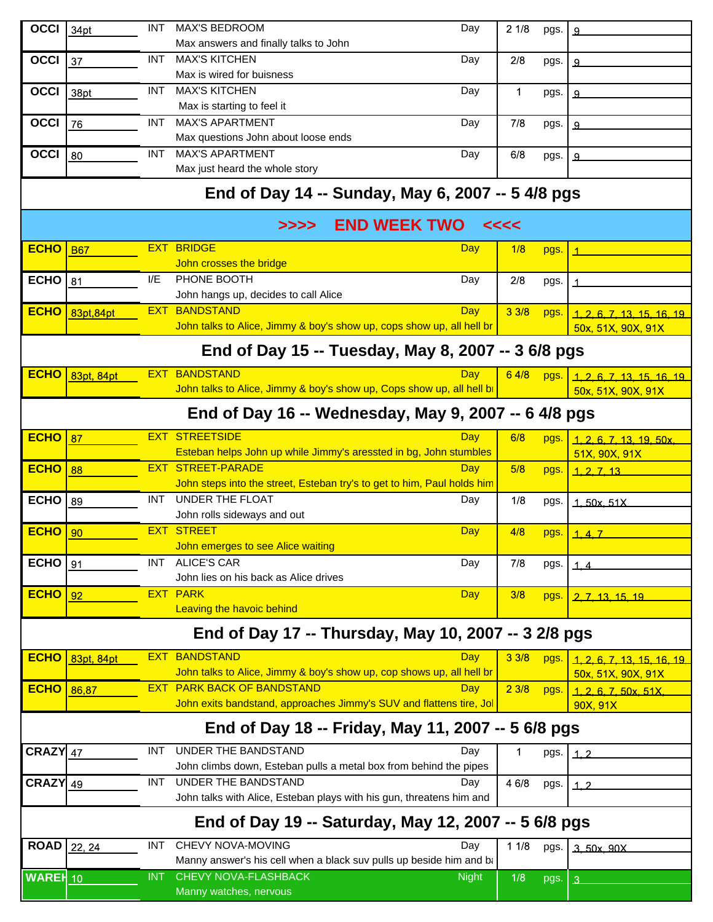| <b>OCCI</b>                                        | 34pt                                                 | <b>INT</b> | <b>MAX'S BEDROOM</b><br>Day                                                                     | 21/8  | pgs. | 9                                                |  |  |
|----------------------------------------------------|------------------------------------------------------|------------|-------------------------------------------------------------------------------------------------|-------|------|--------------------------------------------------|--|--|
|                                                    |                                                      |            | Max answers and finally talks to John                                                           |       |      |                                                  |  |  |
| <b>OCCI</b>                                        | 37                                                   | <b>INT</b> | <b>MAX'S KITCHEN</b><br>Day                                                                     | 2/8   | pgs. | 9                                                |  |  |
|                                                    |                                                      |            | Max is wired for buisness                                                                       |       |      |                                                  |  |  |
| <b>OCCI</b>                                        | 38pt                                                 | <b>INT</b> | <b>MAX'S KITCHEN</b><br>Day                                                                     | 1     | pgs. | 9                                                |  |  |
|                                                    |                                                      |            | Max is starting to feel it                                                                      |       |      |                                                  |  |  |
| <b>OCCI</b>                                        | 76                                                   | INT.       | <b>MAX'S APARTMENT</b><br>Day                                                                   | 7/8   | pgs. | 9                                                |  |  |
|                                                    |                                                      |            | Max questions John about loose ends                                                             |       |      |                                                  |  |  |
| <b>OCCI</b>                                        | 80                                                   | <b>INT</b> | <b>MAX'S APARTMENT</b><br>Day                                                                   | 6/8   | pgs. | 9                                                |  |  |
|                                                    |                                                      |            | Max just heard the whole story                                                                  |       |      |                                                  |  |  |
|                                                    |                                                      |            | End of Day 14 -- Sunday, May 6, 2007 -- 5 4/8 pgs                                               |       |      |                                                  |  |  |
|                                                    |                                                      |            | <b>END WEEK TWO</b><br>>>>>                                                                     | <<<<  |      |                                                  |  |  |
| <b>ECHO</b>                                        | <b>B67</b>                                           |            | <b>EXT BRIDGE</b><br>Day                                                                        | 1/8   | pgs. |                                                  |  |  |
|                                                    |                                                      |            | John crosses the bridge                                                                         |       |      |                                                  |  |  |
| <b>ECHO</b>                                        | 81                                                   | I/E        | PHONE BOOTH<br>Day                                                                              | 2/8   | pgs. |                                                  |  |  |
|                                                    |                                                      | EXT.       | John hangs up, decides to call Alice<br><b>BANDSTAND</b>                                        |       |      |                                                  |  |  |
| <b>ECHO</b>                                        | 83pt, 84pt                                           |            | Day<br>John talks to Alice, Jimmy & boy's show up, cops show up, all hell br                    | 33/8  | pgs. | 1, 2, 6, 7, 13, 15, 16, 19<br>50x, 51X, 90X, 91X |  |  |
|                                                    |                                                      |            |                                                                                                 |       |      |                                                  |  |  |
|                                                    |                                                      |            | End of Day 15 -- Tuesday, May 8, 2007 -- 3 6/8 pgs                                              |       |      |                                                  |  |  |
| <b>ECHO</b>                                        | 83pt, 84pt                                           |            | <b>EXT BANDSTAND</b><br>Dav                                                                     | 64/8  | pgs. | 1, 2, 6, 7, 13, 15, 16, 19                       |  |  |
|                                                    |                                                      |            | John talks to Alice, Jimmy & boy's show up, Cops show up, all hell b                            |       |      | 50x, 51X, 90X, 91X                               |  |  |
|                                                    |                                                      |            | End of Day 16 -- Wednesday, May 9, 2007 -- 6 4/8 pgs                                            |       |      |                                                  |  |  |
| <b>ECHO</b>                                        | 87                                                   |            | <b>EXT STREETSIDE</b><br>Day                                                                    | 6/8   | pgs. | 1, 2, 6, 7, 13, 19, 50x                          |  |  |
|                                                    |                                                      |            | Esteban helps John up while Jimmy's aressted in bg, John stumbles                               |       |      | 51X, 90X, 91X                                    |  |  |
| <b>ECHO</b>                                        | 88                                                   |            | <b>EXT STREET-PARADE</b><br>Day                                                                 | 5/8   | pgs. | 1, 2, 7, 13                                      |  |  |
|                                                    |                                                      |            | John steps into the street, Esteban try's to get to him, Paul holds him                         |       |      |                                                  |  |  |
| <b>ECHO</b>                                        | 89                                                   | <b>INT</b> | <b>UNDER THE FLOAT</b><br>Day                                                                   | 1/8   | pgs. | 1.50x.51X                                        |  |  |
| <b>ECHO</b>                                        |                                                      |            | John rolls sideways and out<br><b>EXT STREET</b><br><b>Day</b>                                  | 4/8   |      |                                                  |  |  |
|                                                    | 90                                                   |            | John emerges to see Alice waiting                                                               |       | pgs. | 1, 4, 7                                          |  |  |
| <b>ECHO</b>                                        | 91                                                   | INT .      | <b>ALICE'S CAR</b><br>Day                                                                       | 7/8   | pgs. | 1.4                                              |  |  |
|                                                    |                                                      |            | John lies on his back as Alice drives                                                           |       |      |                                                  |  |  |
| <b>ECHO</b>                                        | 92                                                   |            | <b>EXT PARK</b><br><b>Day</b>                                                                   | 3/8   | pgs. | 2. 7. 13. 15. 19                                 |  |  |
|                                                    |                                                      |            | <b>Leaving the havoic behind</b>                                                                |       |      |                                                  |  |  |
|                                                    |                                                      |            | End of Day 17 -- Thursday, May 10, 2007 -- 3 2/8 pgs                                            |       |      |                                                  |  |  |
| <b>ECHO</b>                                        | 83pt, 84pt                                           |            | <b>EXT BANDSTAND</b><br>Day                                                                     | 33/8  | pgs. | 1, 2, 6, 7, 13, 15, 16, 19                       |  |  |
|                                                    |                                                      |            | John talks to Alice, Jimmy & boy's show up, cop shows up, all hell br                           |       |      | 50x, 51X, 90X, 91X                               |  |  |
| <b>ECHO</b>                                        | 86,87                                                |            | <b>EXT PARK BACK OF BANDSTAND</b><br>Day                                                        | 23/8  | pgs. | 1, 2, 6, 7, 50x, 51X                             |  |  |
|                                                    |                                                      |            | John exits bandstand, approaches Jimmy's SUV and flattens tire, Jo                              |       |      | 90X, 91X                                         |  |  |
| End of Day 18 -- Friday, May 11, 2007 -- 5 6/8 pgs |                                                      |            |                                                                                                 |       |      |                                                  |  |  |
| $CRAZY$ 47                                         |                                                      | <b>INT</b> | UNDER THE BANDSTAND<br>Day                                                                      | 1     | pgs. | 1.2                                              |  |  |
|                                                    |                                                      |            | John climbs down, Esteban pulls a metal box from behind the pipes                               |       |      |                                                  |  |  |
| $CRAZY$ 49                                         |                                                      | INT.       | UNDER THE BANDSTAND<br>Day                                                                      | 4 6/8 | pgs. | 1.2                                              |  |  |
|                                                    |                                                      |            | John talks with Alice, Esteban plays with his gun, threatens him and                            |       |      |                                                  |  |  |
|                                                    | End of Day 19 -- Saturday, May 12, 2007 -- 5 6/8 pgs |            |                                                                                                 |       |      |                                                  |  |  |
| ROAD   22, 24                                      |                                                      | <b>INT</b> | CHEVY NOVA-MOVING<br>Day<br>Manny answer's his cell when a black suv pulls up beside him and ba | 11/8  | pgs. | 3.50x.90X                                        |  |  |
| <b>WAREH</b> 10                                    |                                                      | <b>INT</b> | <b>CHEVY NOVA-FLASHBACK</b><br><b>Night</b>                                                     |       |      |                                                  |  |  |
|                                                    |                                                      |            | Manny watches, nervous                                                                          | 1/8   | pgs. | $\overline{3}$                                   |  |  |
|                                                    |                                                      |            |                                                                                                 |       |      |                                                  |  |  |